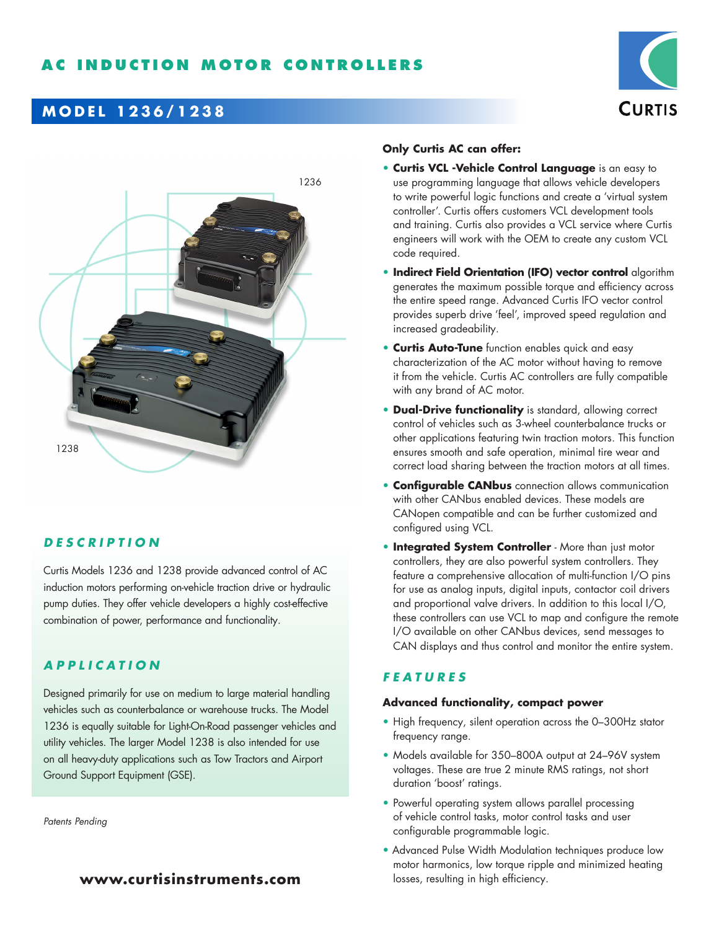



## **DESCRIPTION**

Curtis Models 1236 and 1238 provide advanced control of AC induction motors performing on-vehicle traction drive or hydraulic pump duties. They offer vehicle developers a highly cost-effective combination of power, performance and functionality.

## **APPLICATION**

Designed primarily for use on medium to large material handling vehicles such as counterbalance or warehouse trucks. The Model 1236 is equally suitable for Light-On-Road passenger vehicles and utility vehicles. The larger Model 1238 is also intended for use on all heavy-duty applications such as Tow Tractors and Airport Ground Support Equipment (GSE).

*Patents Pending*

# **www.curtisinstruments.com**

#### **Only Curtis AC can offer:**

- **Curtis VCL -Vehicle Control Language** is an easy to use programming language that allows vehicle developers to write powerful logic functions and create a 'virtual system controller'. Curtis offers customers VCL development tools and training. Curtis also provides a VCL service where Curtis engineers will work with the OEM to create any custom VCL code required.
- **Indirect Field Orientation (IFO) vector control** algorithm generates the maximum possible torque and efficiency across the entire speed range. Advanced Curtis IFO vector control provides superb drive 'feel', improved speed regulation and increased gradeability.
- **Curtis Auto-Tune** function enables quick and easy characterization of the AC motor without having to remove it from the vehicle. Curtis AC controllers are fully compatible with any brand of AC motor.
- **Dual-Drive functionality** is standard, allowing correct control of vehicles such as 3-wheel counterbalance trucks or other applications featuring twin traction motors. This function ensures smooth and safe operation, minimal tire wear and correct load sharing between the traction motors at all times.
- **Configurable CANbus** connection allows communication with other CANbus enabled devices. These models are CANopen compatible and can be further customized and configured using VCL.
- **Integrated System Controller** More than just motor controllers, they are also powerful system controllers. They feature a comprehensive allocation of multi-function I/O pins for use as analog inputs, digital inputs, contactor coil drivers and proportional valve drivers. In addition to this local I/O, these controllers can use VCL to map and configure the remote I/O available on other CANbus devices, send messages to CAN displays and thus control and monitor the entire system.

## **FEATURES**

#### **Advanced functionality, compact power**

- High frequency, silent operation across the 0–300Hz stator frequency range.
- Models available for 350–800A output at 24–96V system voltages. These are true 2 minute RMS ratings, not short duration 'boost' ratings.
- Powerful operating system allows parallel processing of vehicle control tasks, motor control tasks and user configurable programmable logic.
- Advanced Pulse Width Modulation techniques produce low motor harmonics, low torque ripple and minimized heating losses, resulting in high efficiency.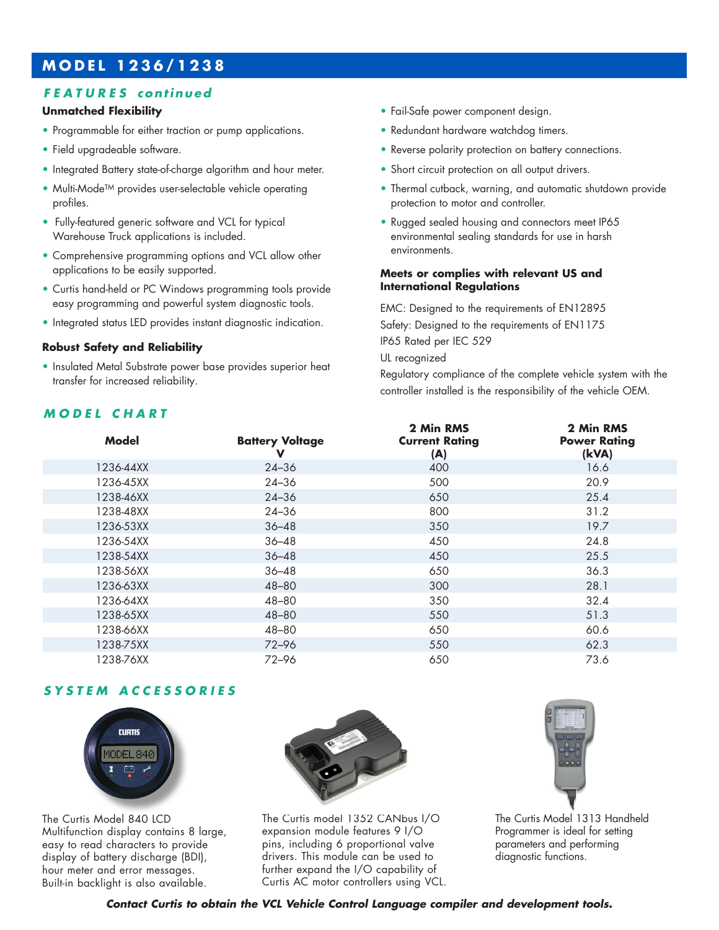## **FEATURES continued**

#### **Unmatched Flexibility**

- Programmable for either traction or pump applications.
- Field upgradeable software.
- Integrated Battery state-of-charge algorithm and hour meter.
- Multi-Mode<sup>TM</sup> provides user-selectable vehicle operating profiles.
- Fully-featured generic software and VCL for typical Warehouse Truck applications is included.
- Comprehensive programming options and VCL allow other applications to be easily supported.
- Curtis hand-held or PC Windows programming tools provide easy programming and powerful system diagnostic tools.
- Integrated status LED provides instant diagnostic indication.

#### **Robust Safety and Reliability**

• Insulated Metal Substrate power base provides superior heat transfer for increased reliability.

### **MODEL CHART**

- Fail-Safe power component design.
- Redundant hardware watchdog timers.
- Reverse polarity protection on battery connections.
- Short circuit protection on all output drivers.
- Thermal cutback, warning, and automatic shutdown provide protection to motor and controller.
- Rugged sealed housing and connectors meet IP65 environmental sealing standards for use in harsh environments.

#### **Meets or complies with relevant US and International Regulations**

EMC: Designed to the requirements of EN12895 Safety: Designed to the requirements of EN1175 IP65 Rated per IEC 529 UL recognized

Regulatory compliance of the complete vehicle system with the controller installed is the responsibility of the vehicle OEM.

| <b>Model</b> | <b>Battery Voltage</b><br>v | 2 Min RMS<br><b>Current Rating</b><br>(A) | 2 Min RMS<br><b>Power Rating</b><br>(kVA) |
|--------------|-----------------------------|-------------------------------------------|-------------------------------------------|
| 1236-44XX    | $24 - 36$                   | 400                                       | 16.6                                      |
| 1236-45XX    | $24 - 36$                   | 500                                       | 20.9                                      |
| 1238-46XX    | $24 - 36$                   | 650                                       | 25.4                                      |
| 1238-48XX    | $24 - 36$                   | 800                                       | 31.2                                      |
| 1236-53XX    | $36 - 48$                   | 350                                       | 19.7                                      |
| 1236-54XX    | $36 - 48$                   | 450                                       | 24.8                                      |
| 1238-54XX    | $36 - 48$                   | 450                                       | 25.5                                      |
| 1238-56XX    | $36 - 48$                   | 650                                       | 36.3                                      |
| 1236-63XX    | 48-80                       | 300                                       | 28.1                                      |
| 1236-64XX    | 48-80                       | 350                                       | 32.4                                      |
| 1238-65XX    | 48-80                       | 550                                       | 51.3                                      |
| 1238-66XX    | 48-80                       | 650                                       | 60.6                                      |
| 1238-75XX    | 72-96                       | 550                                       | 62.3                                      |
| 1238-76XX    | $72 - 96$                   | 650                                       | 73.6                                      |

### **SYSTEM ACCESSORIES**



The Curtis Model 840 LCD Multifunction display contains 8 large, easy to read characters to provide display of battery discharge (BDI), hour meter and error messages. Built-in backlight is also available.



The Curtis model 1352 CANbus I/O expansion module features 9 I/O pins, including 6 proportional valve drivers. This module can be used to further expand the I/O capability of Curtis AC motor controllers using VCL.



The Curtis Model 1313 Handheld Programmer is ideal for setting parameters and performing diagnostic functions.

**Contact Curtis to obtain the VCL Vehicle Control Language compiler and development tools.**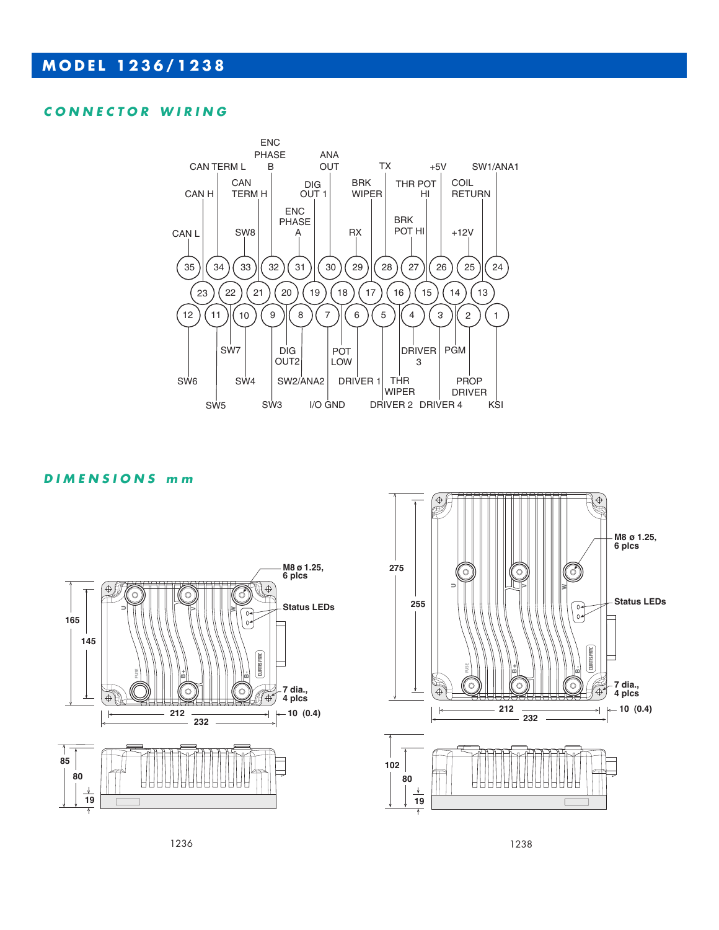### **CONNECTOR WIRING**



### **DIMENSIONS m m**